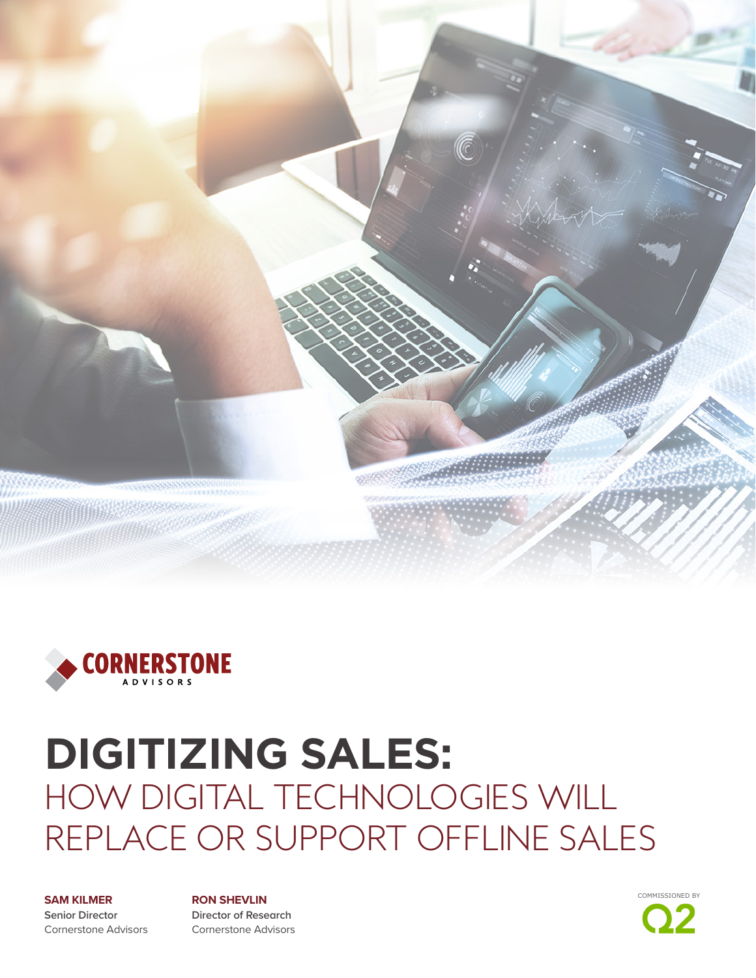

![](_page_0_Picture_1.jpeg)

### **DIGITIZING SALES:**  HOW DIGITAL TECHNOLOGIES WILL REPLACE OR SUPPORT OFFLINE SALES

#### **SAM KILMER**

**Senior Director** Cornerstone Advisors

**RON SHEVLIN Director of Research** Cornerstone Advisors

![](_page_0_Picture_6.jpeg)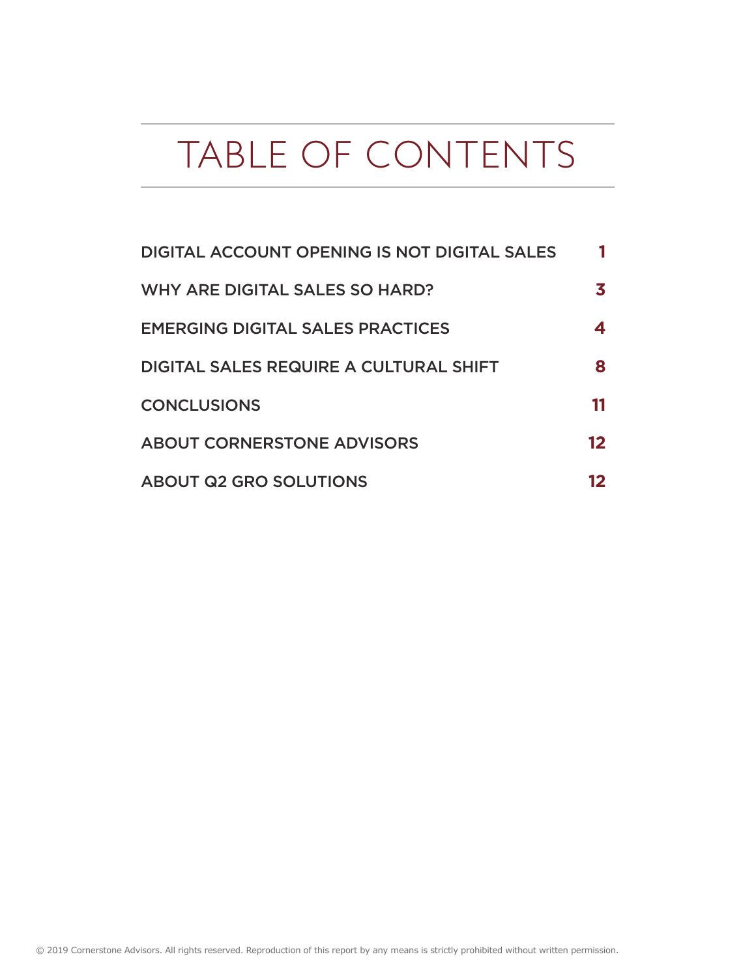## TABLE OF CONTENTS

| <b>DIGITAL ACCOUNT OPENING IS NOT DIGITAL SALES</b> |    |
|-----------------------------------------------------|----|
| WHY ARE DIGITAL SALES SO HARD?                      |    |
| <b>EMERGING DIGITAL SALES PRACTICES</b>             |    |
| <b>DIGITAL SALES REQUIRE A CULTURAL SHIFT</b>       | 8  |
| <b>CONCLUSIONS</b>                                  |    |
| <b>ABOUT CORNERSTONE ADVISORS</b>                   | 12 |
| <b>ABOUT Q2 GRO SOLUTIONS</b>                       |    |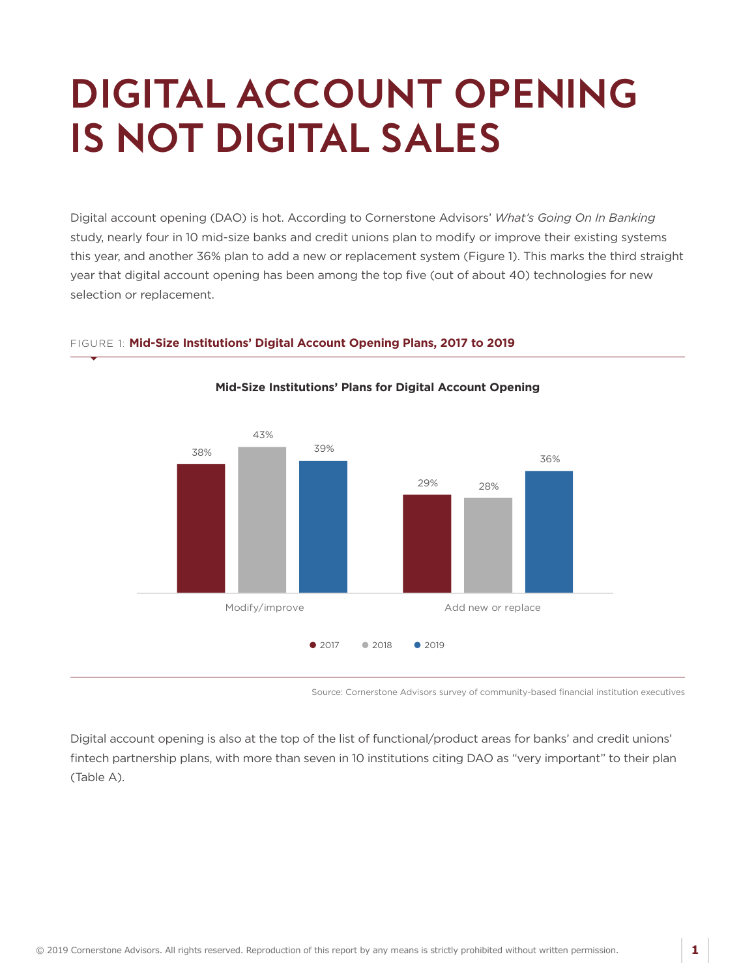## <span id="page-2-0"></span>**DIGITAL ACCOUNT OPENING IS NOT DIGITAL SALES**

Digital account opening (DAO) is hot. According to Cornerstone Advisors' *What's Going On In Banking* study, nearly four in 10 mid-size banks and credit unions plan to modify or improve their existing systems this year, and another 36% plan to add a new or replacement system (Figure 1). This marks the third straight year that digital account opening has been among the top five (out of about 40) technologies for new selection or replacement.

**Mid-Size Institutions' Plans for Digital Account Opening**

![](_page_2_Figure_2.jpeg)

#### FIGURE 1: **Mid-Size Institutions' Digital Account Opening Plans, 2017 to 2019**

Source: Cornerstone Advisors survey of community-based financial institution executives

Digital account opening is also at the top of the list of functional/product areas for banks' and credit unions' fintech partnership plans, with more than seven in 10 institutions citing DAO as "very important" to their plan (Table A).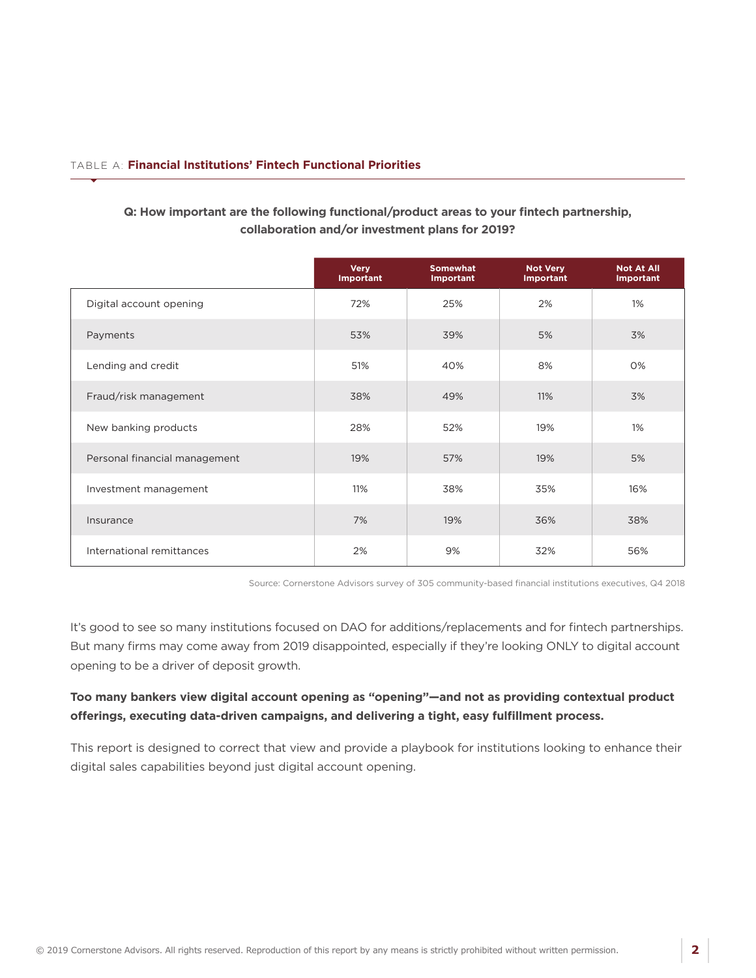#### TABLE A: **Financial Institutions' Fintech Functional Priorities**

|                               | <b>Very</b><br>Important | <b>Somewhat</b><br>Important | <b>Not Very</b><br><b>Important</b> | <b>Not At All</b><br><b>Important</b> |
|-------------------------------|--------------------------|------------------------------|-------------------------------------|---------------------------------------|
| Digital account opening       | 72%                      | 25%                          | 2%                                  | 1%                                    |
| Payments                      | 53%                      | 39%                          | 5%                                  | 3%                                    |
| Lending and credit            | 51%                      | 40%                          | 8%                                  | 0%                                    |
| Fraud/risk management         | 38%                      | 49%                          | 11%                                 | 3%                                    |
| New banking products          | 28%                      | 52%                          | 19%                                 | 1%                                    |
| Personal financial management | 19%                      | 57%                          | 19%                                 | 5%                                    |
| Investment management         | 11%                      | 38%                          | 35%                                 | 16%                                   |
| Insurance                     | 7%                       | 19%                          | 36%                                 | 38%                                   |
| International remittances     | 2%                       | 9%                           | 32%                                 | 56%                                   |

#### **Q: How important are the following functional/product areas to your fintech partnership, collaboration and/or investment plans for 2019?**

Source: Cornerstone Advisors survey of 305 community-based financial institutions executives, Q4 2018

It's good to see so many institutions focused on DAO for additions/replacements and for fintech partnerships. But many firms may come away from 2019 disappointed, especially if they're looking ONLY to digital account opening to be a driver of deposit growth.

#### **Too many bankers view digital account opening as "opening"—and not as providing contextual product offerings, executing data-driven campaigns, and delivering a tight, easy fulfillment process.**

This report is designed to correct that view and provide a playbook for institutions looking to enhance their digital sales capabilities beyond just digital account opening.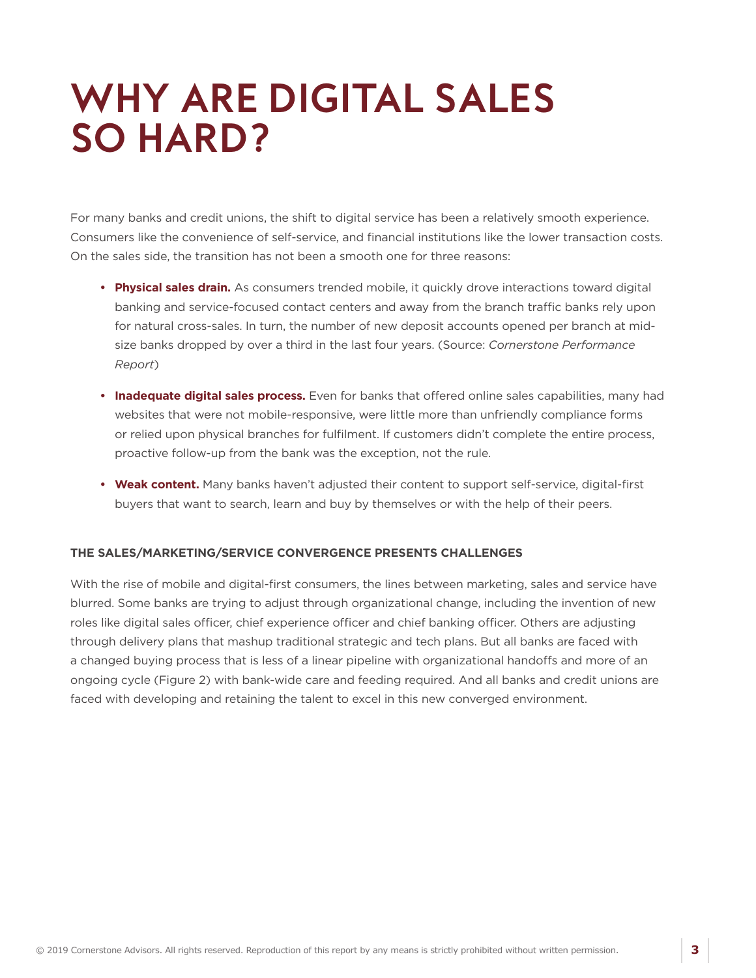### <span id="page-4-0"></span>**WHY ARE DIGITAL SALES SO HARD?**

For many banks and credit unions, the shift to digital service has been a relatively smooth experience. Consumers like the convenience of self-service, and financial institutions like the lower transaction costs. On the sales side, the transition has not been a smooth one for three reasons:

- **Physical sales drain.** As consumers trended mobile, it quickly drove interactions toward digital banking and service-focused contact centers and away from the branch traffic banks rely upon for natural cross-sales. In turn, the number of new deposit accounts opened per branch at midsize banks dropped by over a third in the last four years. (Source: *Cornerstone Performance Report*)
- **Inadequate digital sales process.** Even for banks that offered online sales capabilities, many had websites that were not mobile-responsive, were little more than unfriendly compliance forms or relied upon physical branches for fulfilment. If customers didn't complete the entire process, proactive follow-up from the bank was the exception, not the rule.
- **Weak content.** Many banks haven't adjusted their content to support self-service, digital-first buyers that want to search, learn and buy by themselves or with the help of their peers.

#### **THE SALES/MARKETING/SERVICE CONVERGENCE PRESENTS CHALLENGES**

With the rise of mobile and digital-first consumers, the lines between marketing, sales and service have blurred. Some banks are trying to adjust through organizational change, including the invention of new roles like digital sales officer, chief experience officer and chief banking officer. Others are adjusting through delivery plans that mashup traditional strategic and tech plans. But all banks are faced with a changed buying process that is less of a linear pipeline with organizational handoffs and more of an ongoing cycle (Figure 2) with bank-wide care and feeding required. And all banks and credit unions are faced with developing and retaining the talent to excel in this new converged environment.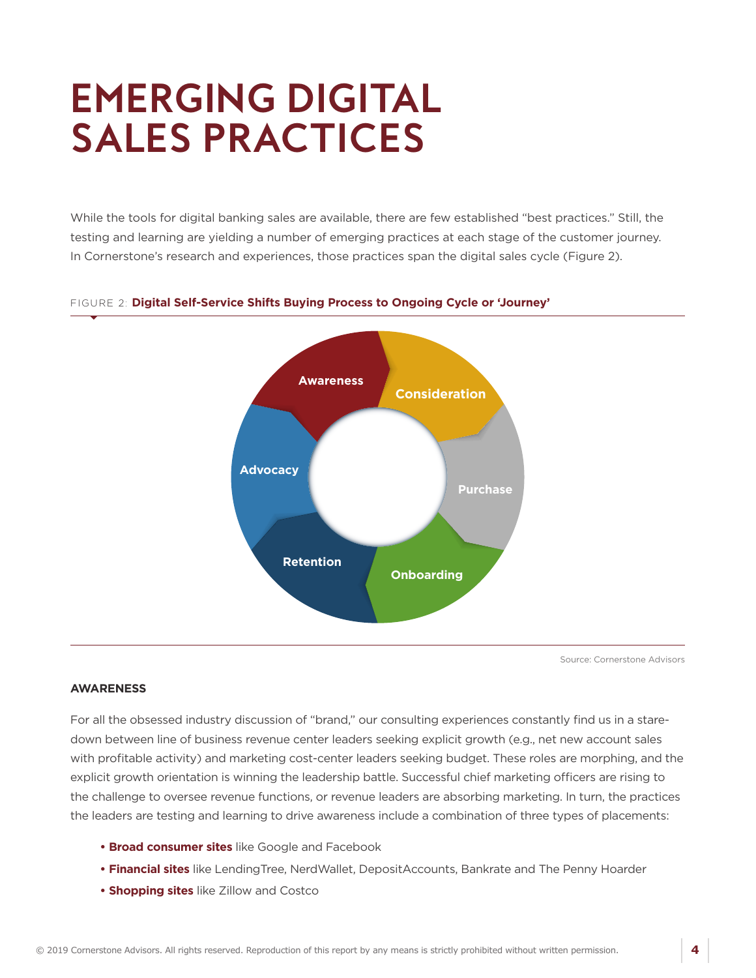## <span id="page-5-0"></span>**EMERGING DIGITAL SALES PRACTICES**

While the tools for digital banking sales are available, there are few established "best practices." Still, the testing and learning are yielding a number of emerging practices at each stage of the customer journey. In Cornerstone's research and experiences, those practices span the digital sales cycle (Figure 2).

![](_page_5_Figure_2.jpeg)

#### FIGURE 2: **Digital Self-Service Shifts Buying Process to Ongoing Cycle or 'Journey'**

Source: Cornerstone Advisors

#### **AWARENESS**

For all the obsessed industry discussion of "brand," our consulting experiences constantly find us in a staredown between line of business revenue center leaders seeking explicit growth (e.g., net new account sales with profitable activity) and marketing cost-center leaders seeking budget. These roles are morphing, and the explicit growth orientation is winning the leadership battle. Successful chief marketing officers are rising to the challenge to oversee revenue functions, or revenue leaders are absorbing marketing. In turn, the practices the leaders are testing and learning to drive awareness include a combination of three types of placements:

- **Broad consumer sites** like Google and Facebook
- **Financial sites** like LendingTree, NerdWallet, DepositAccounts, Bankrate and The Penny Hoarder
- **Shopping sites** like Zillow and Costco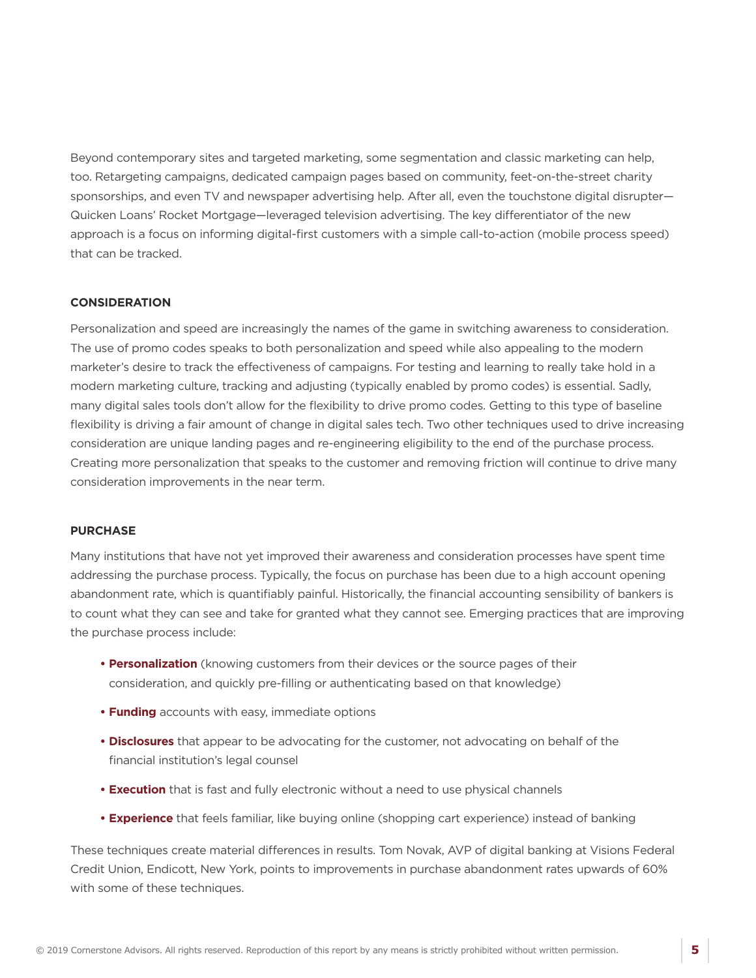Beyond contemporary sites and targeted marketing, some segmentation and classic marketing can help, too. Retargeting campaigns, dedicated campaign pages based on community, feet-on-the-street charity sponsorships, and even TV and newspaper advertising help. After all, even the touchstone digital disrupter— Quicken Loans' Rocket Mortgage—leveraged television advertising. The key differentiator of the new approach is a focus on informing digital-first customers with a simple call-to-action (mobile process speed) that can be tracked.

#### **CONSIDERATION**

Personalization and speed are increasingly the names of the game in switching awareness to consideration. The use of promo codes speaks to both personalization and speed while also appealing to the modern marketer's desire to track the effectiveness of campaigns. For testing and learning to really take hold in a modern marketing culture, tracking and adjusting (typically enabled by promo codes) is essential. Sadly, many digital sales tools don't allow for the flexibility to drive promo codes. Getting to this type of baseline flexibility is driving a fair amount of change in digital sales tech. Two other techniques used to drive increasing consideration are unique landing pages and re-engineering eligibility to the end of the purchase process. Creating more personalization that speaks to the customer and removing friction will continue to drive many consideration improvements in the near term.

#### **PURCHASE**

Many institutions that have not yet improved their awareness and consideration processes have spent time addressing the purchase process. Typically, the focus on purchase has been due to a high account opening abandonment rate, which is quantifiably painful. Historically, the financial accounting sensibility of bankers is to count what they can see and take for granted what they cannot see. Emerging practices that are improving the purchase process include:

- **Personalization** (knowing customers from their devices or the source pages of their consideration, and quickly pre-filling or authenticating based on that knowledge)
- **Funding** accounts with easy, immediate options
- **Disclosures** that appear to be advocating for the customer, not advocating on behalf of the financial institution's legal counsel
- **Execution** that is fast and fully electronic without a need to use physical channels
- **Experience** that feels familiar, like buying online (shopping cart experience) instead of banking

These techniques create material differences in results. Tom Novak, AVP of digital banking at Visions Federal Credit Union, Endicott, New York, points to improvements in purchase abandonment rates upwards of 60% with some of these techniques.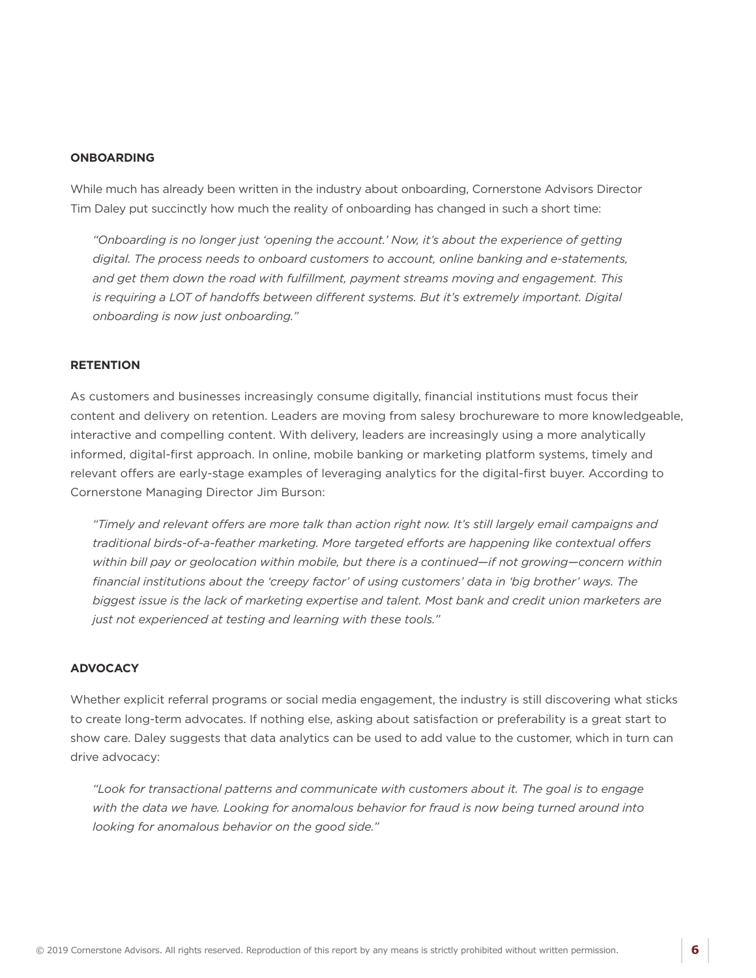#### **ONBOARDING**

While much has already been written in the industry about onboarding, Cornerstone Advisors Director Tim Daley put succinctly how much the reality of onboarding has changed in such a short time:

*"Onboarding is no longer just 'opening the account.' Now, it's about the experience of getting digital. The process needs to onboard customers to account, online banking and e-statements, and get them down the road with fulfillment, payment streams moving and engagement. This is requiring a LOT of handoffs between different systems. But it's extremely important. Digital onboarding is now just onboarding."* 

#### **RETENTION**

As customers and businesses increasingly consume digitally, financial institutions must focus their content and delivery on retention. Leaders are moving from salesy brochureware to more knowledgeable, interactive and compelling content. With delivery, leaders are increasingly using a more analytically informed, digital-first approach. In online, mobile banking or marketing platform systems, timely and relevant offers are early-stage examples of leveraging analytics for the digital-first buyer. According to Cornerstone Managing Director Jim Burson:

*"Timely and relevant offers are more talk than action right now. It's still largely email campaigns and traditional birds-of-a-feather marketing. More targeted efforts are happening like contextual offers within bill pay or geolocation within mobile, but there is a continued—if not growing—concern within financial institutions about the 'creepy factor' of using customers' data in 'big brother' ways. The biggest issue is the lack of marketing expertise and talent. Most bank and credit union marketers are just not experienced at testing and learning with these tools."* 

#### **ADVOCACY**

Whether explicit referral programs or social media engagement, the industry is still discovering what sticks to create long-term advocates. If nothing else, asking about satisfaction or preferability is a great start to show care. Daley suggests that data analytics can be used to add value to the customer, which in turn can drive advocacy:

*"Look for transactional patterns and communicate with customers about it. The goal is to engage with the data we have. Looking for anomalous behavior for fraud is now being turned around into looking for anomalous behavior on the good side."*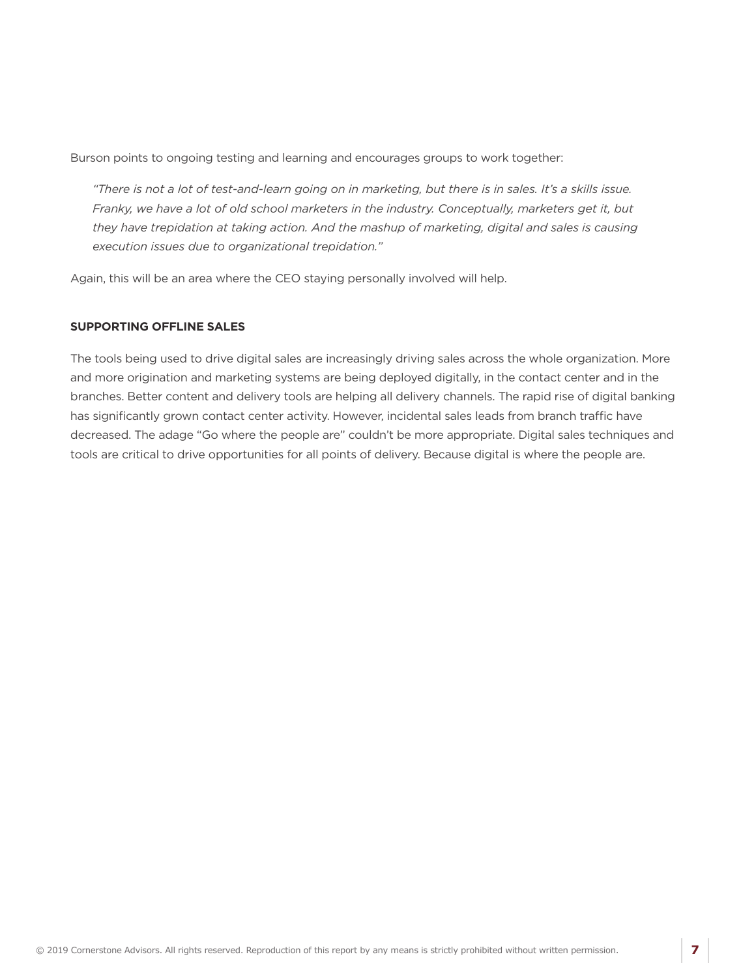Burson points to ongoing testing and learning and encourages groups to work together:

*"There is not a lot of test-and-learn going on in marketing, but there is in sales. It's a skills issue. Franky, we have a lot of old school marketers in the industry. Conceptually, marketers get it, but they have trepidation at taking action. And the mashup of marketing, digital and sales is causing execution issues due to organizational trepidation."* 

Again, this will be an area where the CEO staying personally involved will help.

#### **SUPPORTING OFFLINE SALES**

The tools being used to drive digital sales are increasingly driving sales across the whole organization. More and more origination and marketing systems are being deployed digitally, in the contact center and in the branches. Better content and delivery tools are helping all delivery channels. The rapid rise of digital banking has significantly grown contact center activity. However, incidental sales leads from branch traffic have decreased. The adage "Go where the people are" couldn't be more appropriate. Digital sales techniques and tools are critical to drive opportunities for all points of delivery. Because digital is where the people are.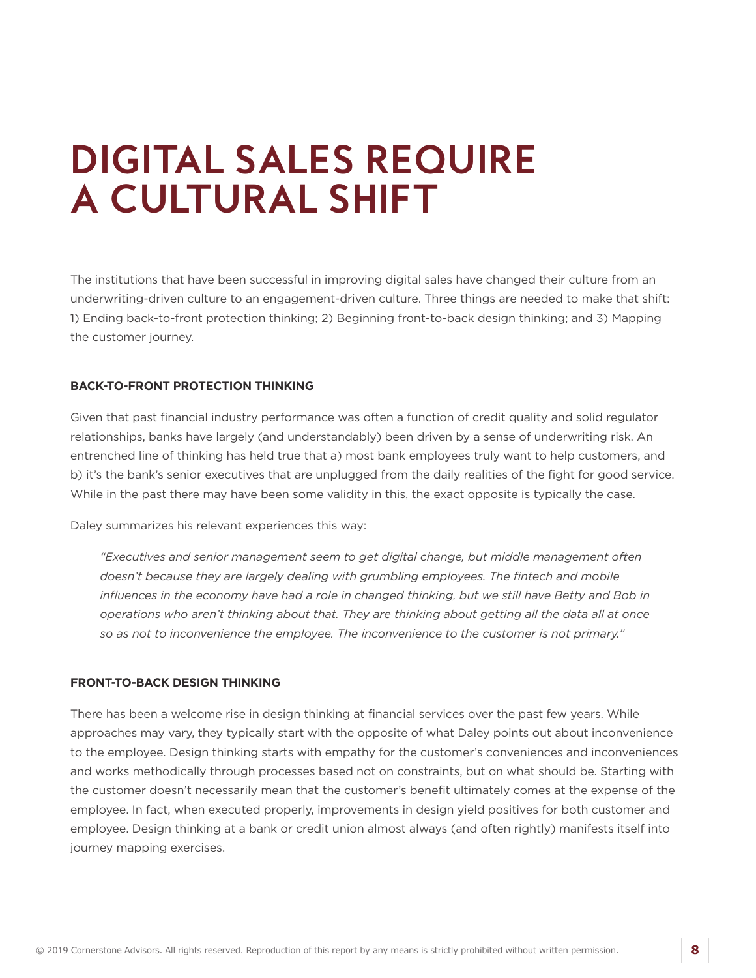## <span id="page-9-0"></span>**DIGITAL SALES REQUIRE A CULTURAL SHIFT**

The institutions that have been successful in improving digital sales have changed their culture from an underwriting-driven culture to an engagement-driven culture. Three things are needed to make that shift: 1) Ending back-to-front protection thinking; 2) Beginning front-to-back design thinking; and 3) Mapping the customer journey.

#### **BACK-TO-FRONT PROTECTION THINKING**

Given that past financial industry performance was often a function of credit quality and solid regulator relationships, banks have largely (and understandably) been driven by a sense of underwriting risk. An entrenched line of thinking has held true that a) most bank employees truly want to help customers, and b) it's the bank's senior executives that are unplugged from the daily realities of the fight for good service. While in the past there may have been some validity in this, the exact opposite is typically the case.

Daley summarizes his relevant experiences this way:

*"Executives and senior management seem to get digital change, but middle management often doesn't because they are largely dealing with grumbling employees. The fintech and mobile influences in the economy have had a role in changed thinking, but we still have Betty and Bob in operations who aren't thinking about that. They are thinking about getting all the data all at once so as not to inconvenience the employee. The inconvenience to the customer is not primary."* 

#### **FRONT-TO-BACK DESIGN THINKING**

There has been a welcome rise in design thinking at financial services over the past few years. While approaches may vary, they typically start with the opposite of what Daley points out about inconvenience to the employee. Design thinking starts with empathy for the customer's conveniences and inconveniences and works methodically through processes based not on constraints, but on what should be. Starting with the customer doesn't necessarily mean that the customer's benefit ultimately comes at the expense of the employee. In fact, when executed properly, improvements in design yield positives for both customer and employee. Design thinking at a bank or credit union almost always (and often rightly) manifests itself into journey mapping exercises.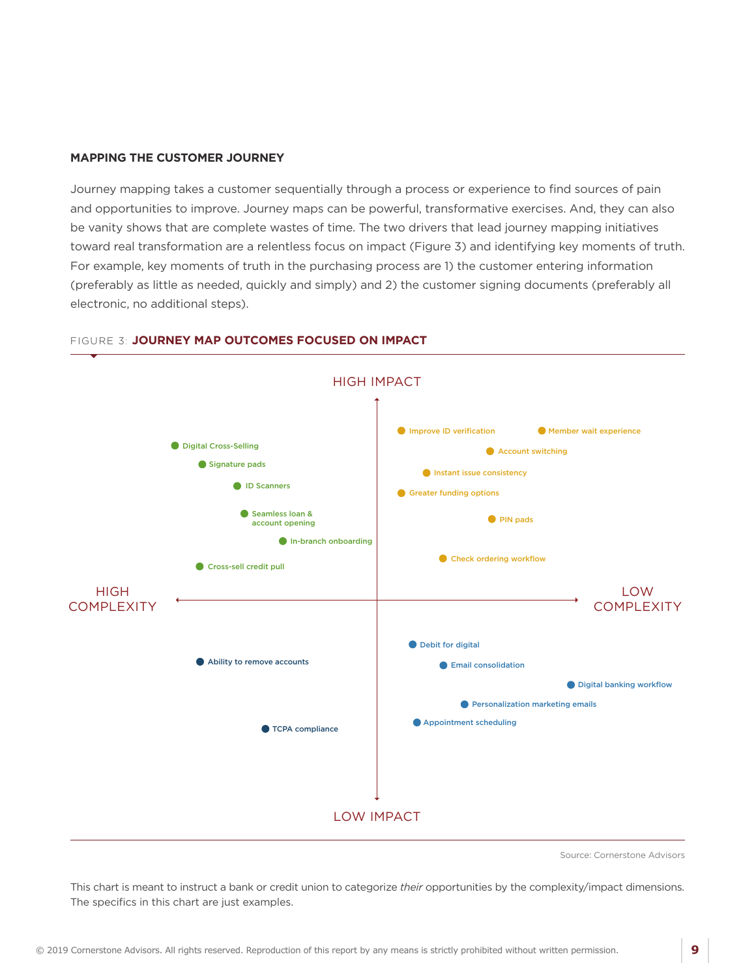#### **MAPPING THE CUSTOMER JOURNEY**

Journey mapping takes a customer sequentially through a process or experience to find sources of pain and opportunities to improve. Journey maps can be powerful, transformative exercises. And, they can also be vanity shows that are complete wastes of time. The two drivers that lead journey mapping initiatives toward real transformation are a relentless focus on impact (Figure 3) and identifying key moments of truth. For example, key moments of truth in the purchasing process are 1) the customer entering information (preferably as little as needed, quickly and simply) and 2) the customer signing documents (preferably all electronic, no additional steps).

![](_page_10_Figure_2.jpeg)

#### FIGURE 3: **JOURNEY MAP OUTCOMES FOCUSED ON IMPACT**

Source: Cornerstone Advisors

This chart is meant to instruct a bank or credit union to categorize *their* opportunities by the complexity/impact dimensions. The specifics in this chart are just examples.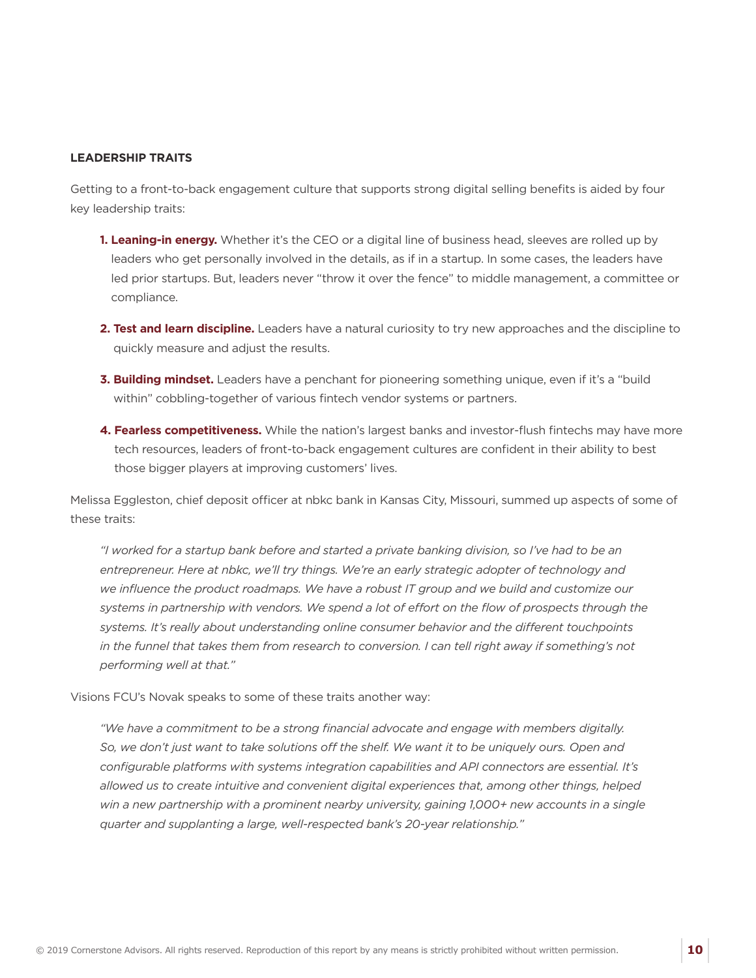#### **LEADERSHIP TRAITS**

Getting to a front-to-back engagement culture that supports strong digital selling benefits is aided by four key leadership traits:

- **1. Leaning-in energy.** Whether it's the CEO or a digital line of business head, sleeves are rolled up by leaders who get personally involved in the details, as if in a startup. In some cases, the leaders have led prior startups. But, leaders never "throw it over the fence" to middle management, a committee or compliance.
- **2. Test and learn discipline.** Leaders have a natural curiosity to try new approaches and the discipline to quickly measure and adjust the results.
- **3. Building mindset.** Leaders have a penchant for pioneering something unique, even if it's a "build within" cobbling-together of various fintech vendor systems or partners.
- **4. Fearless competitiveness.** While the nation's largest banks and investor-flush fintechs may have more tech resources, leaders of front-to-back engagement cultures are confident in their ability to best those bigger players at improving customers' lives.

Melissa Eggleston, chief deposit officer at nbkc bank in Kansas City, Missouri, summed up aspects of some of these traits:

*"I worked for a startup bank before and started a private banking division, so I've had to be an entrepreneur. Here at nbkc, we'll try things. We're an early strategic adopter of technology and we influence the product roadmaps. We have a robust IT group and we build and customize our*  systems in partnership with vendors. We spend a lot of effort on the flow of prospects through the *systems. It's really about understanding online consumer behavior and the different touchpoints in the funnel that takes them from research to conversion. I can tell right away if something's not performing well at that."*

Visions FCU's Novak speaks to some of these traits another way:

*"We have a commitment to be a strong financial advocate and engage with members digitally. So, we don't just want to take solutions off the shelf. We want it to be uniquely ours. Open and configurable platforms with systems integration capabilities and API connectors are essential. It's allowed us to create intuitive and convenient digital experiences that, among other things, helped*  win a new partnership with a prominent nearby university, gaining 1,000+ new accounts in a single *quarter and supplanting a large, well-respected bank's 20-year relationship."*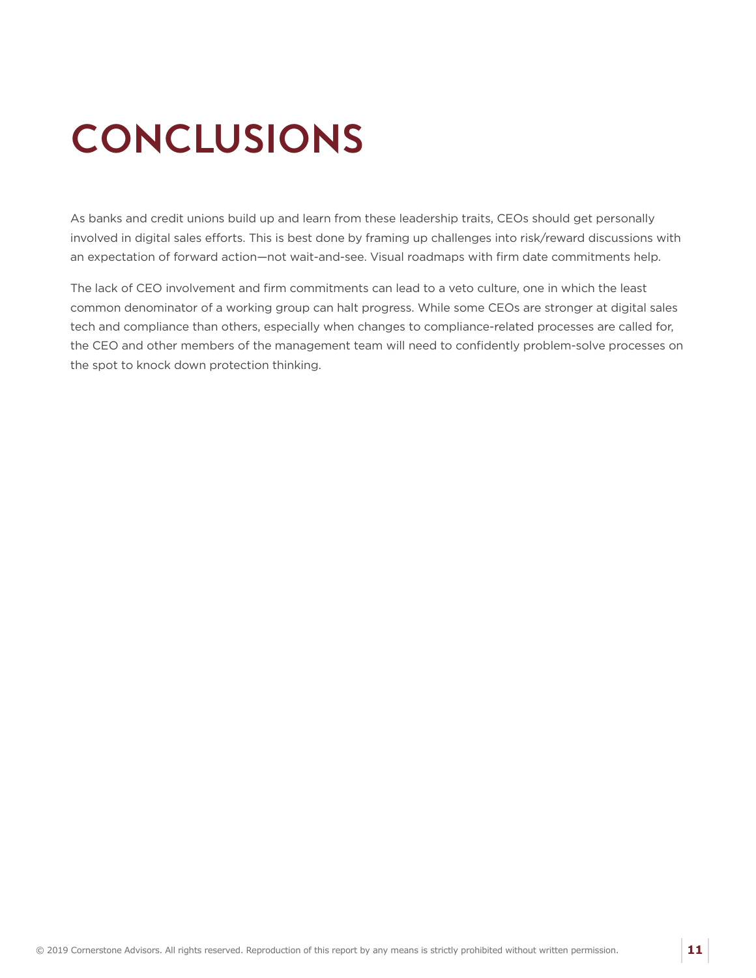# <span id="page-12-0"></span>**CONCLUSIONS**

As banks and credit unions build up and learn from these leadership traits, CEOs should get personally involved in digital sales efforts. This is best done by framing up challenges into risk/reward discussions with an expectation of forward action—not wait-and-see. Visual roadmaps with firm date commitments help.

The lack of CEO involvement and firm commitments can lead to a veto culture, one in which the least common denominator of a working group can halt progress. While some CEOs are stronger at digital sales tech and compliance than others, especially when changes to compliance-related processes are called for, the CEO and other members of the management team will need to confidently problem-solve processes on the spot to knock down protection thinking.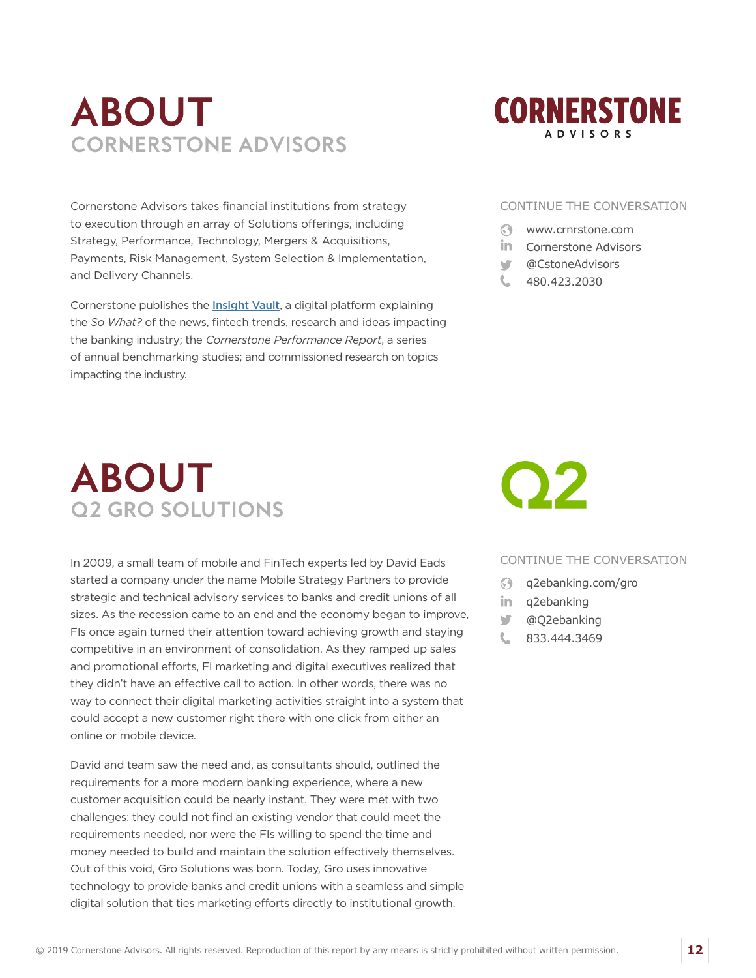### <span id="page-13-0"></span>**ABOUT CORNERSTONE ADVISORS**

Cornerstone Advisors takes financial institutions from strategy to execution through an array of Solutions offerings, including Strategy, Performance, Technology, Mergers & Acquisitions, Payments, Risk Management, System Selection & Implementation, and Delivery Channels.

Cornerstone publishes the *[Insight Vault](https://www.crnrstone.com/insightvault/)*, a digital platform explaining the *So What?* of the news, fintech trends, research and ideas impacting the banking industry; the *Cornerstone Performance Report*, a series of annual benchmarking studies; and commissioned research on topics impacting the industry.

![](_page_13_Picture_3.jpeg)

#### CONTINUE THE CONVERSATION

- $\odot$ [www.crnrstone.com](http://www.crnrstone.com)
- in [Cornerstone Advisors](https://www.linkedin.com/company/cornerstoneadvisors/)
- ъđг [@CstoneAdvisors](https://twitter.com/CstoneAdvisors)
- 480.423.2030

### **ABOUT Q2 GRO SOLUTIONS**

In 2009, a small team of mobile and FinTech experts led by David Eads started a company under the name Mobile Strategy Partners to provide strategic and technical advisory services to banks and credit unions of all sizes. As the recession came to an end and the economy began to improve, FIs once again turned their attention toward achieving growth and staying competitive in an environment of consolidation. As they ramped up sales and promotional efforts, FI marketing and digital executives realized that they didn't have an effective call to action. In other words, there was no way to connect their digital marketing activities straight into a system that could accept a new customer right there with one click from either an online or mobile device.

David and team saw the need and, as consultants should, outlined the requirements for a more modern banking experience, where a new customer acquisition could be nearly instant. They were met with two challenges: they could not find an existing vendor that could meet the requirements needed, nor were the FIs willing to spend the time and money needed to build and maintain the solution effectively themselves. Out of this void, Gro Solutions was born. Today, Gro uses innovative technology to provide banks and credit unions with a seamless and simple digital solution that ties marketing efforts directly to institutional growth.

![](_page_13_Picture_12.jpeg)

#### CONTINUE THE CONVERSATION

- $\odot$ [q2ebanking.com/gro](http://www.q2ebanking.com/gro)
- in [q2ebanking](https://www.linkedin.com/company/q2ebanking)
- [@Q2ebanking](https://twitter.com/Q2ebanking)
- 833.444.3469